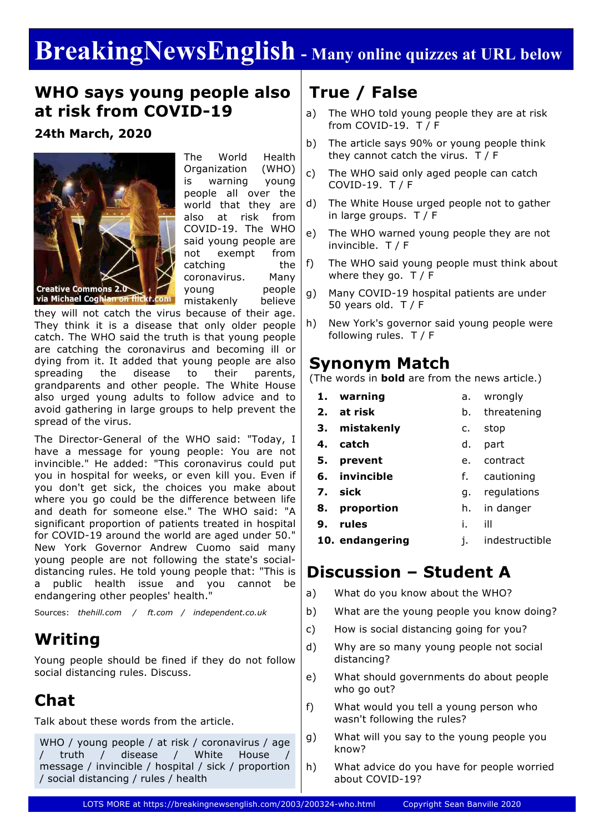# **BreakingNewsEnglish - Many online quizzes at URL below**

#### **WHO says young people also at risk from COVID-19**

**24th March, 2020**



The World Health Organization (WHO) is warning young people all over the world that they are also at risk from COVID-19. The WHO said young people are not exempt from catching the coronavirus. Many young people mistakenly believe

they will not catch the virus because of their age. They think it is a disease that only older people catch. The WHO said the truth is that young people are catching the coronavirus and becoming ill or dying from it. It added that young people are also spreading the disease to their parents, grandparents and other people. The White House also urged young adults to follow advice and to avoid gathering in large groups to help prevent the spread of the virus.

The Director-General of the WHO said: "Today, I have a message for young people: You are not invincible." He added: "This coronavirus could put you in hospital for weeks, or even kill you. Even if you don't get sick, the choices you make about where you go could be the difference between life and death for someone else." The WHO said: "A significant proportion of patients treated in hospital for COVID-19 around the world are aged under 50." New York Governor Andrew Cuomo said many young people are not following the state's socialdistancing rules. He told young people that: "This is a public health issue and you cannot be endangering other peoples' health."

Sources: *thehill.com / ft.com / independent.co.uk*

### **Writing**

Young people should be fined if they do not follow social distancing rules. Discuss.

# **Chat**

Talk about these words from the article.

WHO / young people / at risk / coronavirus / age / truth / disease / White House / message / invincible / hospital / sick / proportion / social distancing / rules / health

# **True / False**

- a) The WHO told young people they are at risk from COVID-19. T / F
- b) The article says 90% or young people think they cannot catch the virus. T / F
- c) The WHO said only aged people can catch COVID-19. T / F
- d) The White House urged people not to gather in large groups. T / F
- e) The WHO warned young people they are not invincible. T / F
- f) The WHO said young people must think about where they go. T / F
- g) Many COVID-19 hospital patients are under 50 years old. T / F
- h) New York's governor said young people were following rules. T / F

#### **Synonym Match**

(The words in **bold** are from the news article.)

- **1. warning**
- 
- **2. at risk**
- a. wrongly
- 
- b. threatening
- **3. mistakenly**
- c. stop
- **4. catch** d. part
- **5. prevent** e. contract
- **6. invincible** f. cautioning
- **7. sick** g. regulations
- **8. proportion** h. in danger
- **9. rules** i. ill
- **10. endangering** j. indestructible

### **Discussion – Student A**

- a) What do you know about the WHO?
- b) What are the young people you know doing?
- c) How is social distancing going for you?
- d) Why are so many young people not social distancing?
- e) What should governments do about people who go out?
- f) What would you tell a young person who wasn't following the rules?
- g) What will you say to the young people you know?
- h) What advice do you have for people worried about COVID-19?